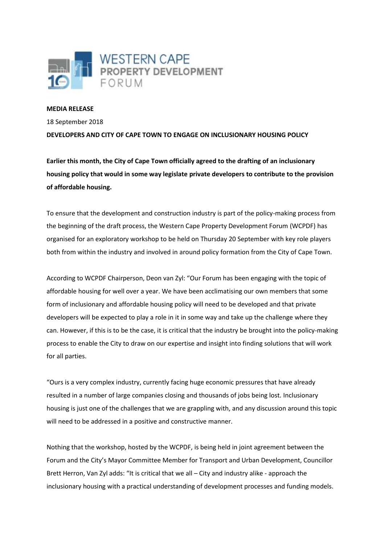

## **MEDIA RELEASE**

18 September 2018

**DEVELOPERS AND CITY OF CAPE TOWN TO ENGAGE ON INCLUSIONARY HOUSING POLICY**

**Earlier this month, the City of Cape Town officially agreed to the drafting of an inclusionary housing policy that would in some way legislate private developers to contribute to the provision of affordable housing.**

To ensure that the development and construction industry is part of the policy-making process from the beginning of the draft process, the Western Cape Property Development Forum (WCPDF) has organised for an exploratory workshop to be held on Thursday 20 September with key role players both from within the industry and involved in around policy formation from the City of Cape Town.

According to WCPDF Chairperson, Deon van Zyl: "Our Forum has been engaging with the topic of affordable housing for well over a year. We have been acclimatising our own members that some form of inclusionary and affordable housing policy will need to be developed and that private developers will be expected to play a role in it in some way and take up the challenge where they can. However, if this is to be the case, it is critical that the industry be brought into the policy-making process to enable the City to draw on our expertise and insight into finding solutions that will work for all parties.

"Ours is a very complex industry, currently facing huge economic pressures that have already resulted in a number of large companies closing and thousands of jobs being lost. Inclusionary housing is just one of the challenges that we are grappling with, and any discussion around this topic will need to be addressed in a positive and constructive manner.

Nothing that the workshop, hosted by the WCPDF, is being held in joint agreement between the Forum and the City's Mayor Committee Member for Transport and Urban Development, Councillor Brett Herron, Van Zyl adds: "It is critical that we all – City and industry alike - approach the inclusionary housing with a practical understanding of development processes and funding models.